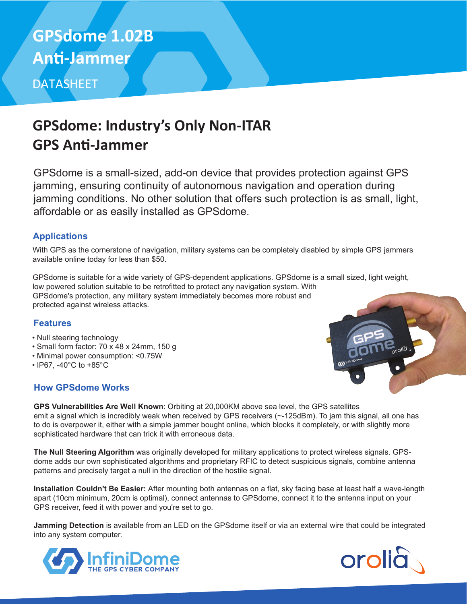# DATASHEET **GPSdome 1.02B An�-Jammer**

### **GPSdome: Industry's Only Non-ITAR GPS An�-Jammer**

GPSdome is a small-sized, add-on device that provides protection against GPS jamming, ensuring continuity of autonomous navigation and operation during jamming conditions. No other solution that offers such protection is as small, light, affordable or as easily installed as GPSdome.

#### **Applications**

With GPS as the cornerstone of navigation, military systems can be completely disabled by simple GPS jammers available online today for less than \$50.

GPSdome is suitable for a wide variety of GPS-dependent applications. GPSdome is a small sized, light weight, low powered solution suitable to be retrofitted to protect any navigation system. With GPSdome's protection, any military system immediately becomes more robust and protected against wireless attacks.

#### **Features**

- Null steering technology
- Small form factor: 70 x 48 x 24mm, 150 g
- Minimal power consumption: <0.75W
- IP67, -40°C to +85°C

#### **How GPSdome Works**



**GPS Vulnerabilities Are Well Known**: Orbiting at 20,000KM above sea level, the GPS satellites emit a signal which is incredibly weak when received by GPS receivers (~-125dBm). To jam this signal, all one has to do is overpower it, either with a simple jammer bought online, which blocks it completely, or with slightly more sophisticated hardware that can trick it with erroneous data.

**The Null Steering Algorithm** was originally developed for military applications to protect wireless signals. GPSdome adds our own sophisticated algorithms and proprietary RFIC to detect suspicious signals, combine antenna patterns and precisely target a null in the direction of the hostile signal.

**Installation Couldn't Be Easier:** After mounting both antennas on a flat, sky facing base at least half a wave-length apart (10cm minimum, 20cm is optimal), connect antennas to GPSdome, connect it to the antenna input on your GPS receiver, feed it with power and you're set to go.

**Jamming Detection** is available from an LED on the GPSdome itself or via an external wire that could be integrated into any system computer.